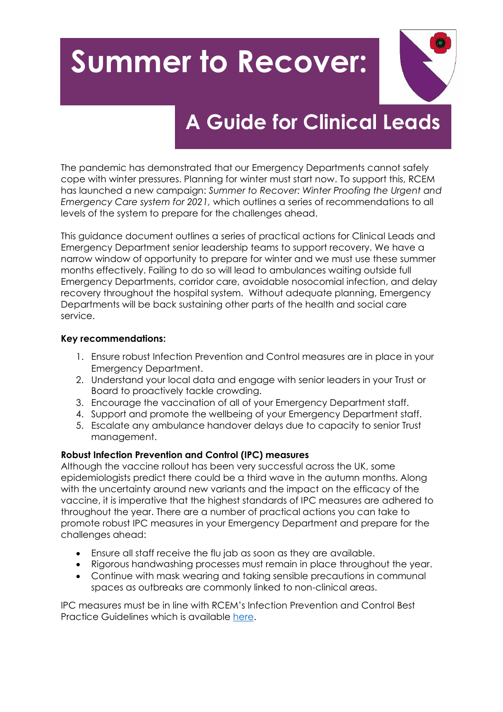# **Summer to Recover:**



# **A Guide for Clinical Leads**

The pandemic has demonstrated that our Emergency Departments cannot safely cope with winter pressures. Planning for winter must start now. To support this, RCEM has launched a new campaign: *Summer to Recover: Winter Proofing the Urgent and Emergency Care system for 2021,* which outlines a series of recommendations to all levels of the system to prepare for the challenges ahead.

This guidance document outlines a series of practical actions for Clinical Leads and Emergency Department senior leadership teams to support recovery. We have a narrow window of opportunity to prepare for winter and we must use these summer months effectively. Failing to do so will lead to ambulances waiting outside full Emergency Departments, corridor care, avoidable nosocomial infection, and delay recovery throughout the hospital system. Without adequate planning, Emergency Departments will be back sustaining other parts of the health and social care service.

#### **Key recommendations:**

- 1. Ensure robust Infection Prevention and Control measures are in place in your Emergency Department.
- 2. Understand your local data and engage with senior leaders in your Trust or Board to proactively tackle crowding.
- 3. Encourage the vaccination of all of your Emergency Department staff.
- 4. Support and promote the wellbeing of your Emergency Department staff.
- 5. Escalate any ambulance handover delays due to capacity to senior Trust management.

## **Robust Infection Prevention and Control (IPC) measures**

Although the vaccine rollout has been very successful across the UK, some epidemiologists predict there could be a third wave in the autumn months. Along with the uncertainty around new variants and the impact on the efficacy of the vaccine, it is imperative that the highest standards of IPC measures are adhered to throughout the year. There are a number of practical actions you can take to promote robust IPC measures in your Emergency Department and prepare for the challenges ahead:

- Ensure all staff receive the flu jab as soon as they are available.
- Rigorous handwashing processes must remain in place throughout the year.
- Continue with mask wearing and taking sensible precautions in communal spaces as outbreaks are commonly linked to non-clinical areas.

IPC measures must be in line with RCEM's Infection Prevention and Control Best Practice Guidelines which is available [here.](https://www.rcem.ac.uk/docs/RCEM%20Guidance/RCEM%20Guideline%20COVID%20IPC%20(Feb%202021).pdf)